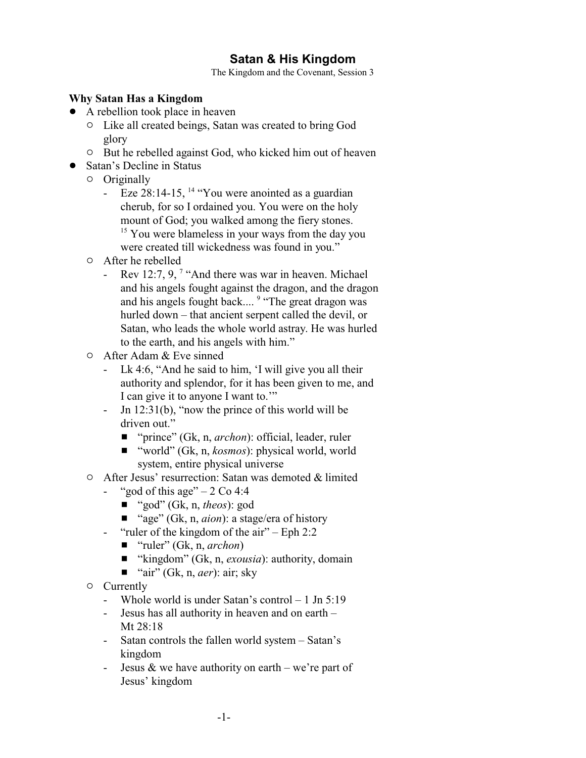# **Satan & His Kingdom**

The Kingdom and the Covenant, Session 3

### **Why Satan Has a Kingdom**

- A rebellion took place in heaven
	- $\circ$  Like all created beings, Satan was created to bring God glory
	- $\circ$  But he rebelled against God, who kicked him out of heaven
- Satan's Decline in Status
	- $O$  Originally
		- Eze 28:14-15, <sup>14</sup> "You were anointed as a guardian cherub, for so I ordained you. You were on the holy mount of God; you walked among the fiery stones. <sup>15</sup> You were blameless in your ways from the day you were created till wickedness was found in you."
	- $\circ$  After he rebelled
		- Rev 12:7, 9,  $\frac{7}{1}$  "And there was war in heaven. Michael and his angels fought against the dragon, and the dragon and his angels fought back.... <sup>9</sup> "The great dragon was hurled down – that ancient serpent called the devil, or Satan, who leads the whole world astray. He was hurled to the earth, and his angels with him."
	- $\circ$  After Adam & Eve sinned
		- Lk 4:6, "And he said to him, 'I will give you all their authority and splendor, for it has been given to me, and I can give it to anyone I want to.'"
		- Jn 12:31(b), "now the prince of this world will be driven out."
			- "prince" (Gk, n, *archon*): official, leader, ruler
			- "world" (Gk, n, *kosmos*): physical world, world system, entire physical universe
	- " After Jesus' resurrection: Satan was demoted & limited
		- "god of this age"  $-2$  Co 4:4
			- "god" (Gk, n, *theos*): god
			- "age" (Gk, n, *aion*): a stage/era of history
		- "ruler of the kingdom of the air" Eph 2:2
			- "ruler" (Gk, n, *archon*)
			- "kingdom" (Gk, n, *exousia*): authority, domain
			- $\blacksquare$  "air" (Gk, n, *aer*): air; sky
	- $\circ$  Currently
		- Whole world is under Satan's control 1 Jn 5:19
		- Jesus has all authority in heaven and on earth Mt 28:18
		- Satan controls the fallen world system Satan's kingdom
		- Jesus  $&$  we have authority on earth we're part of Jesus' kingdom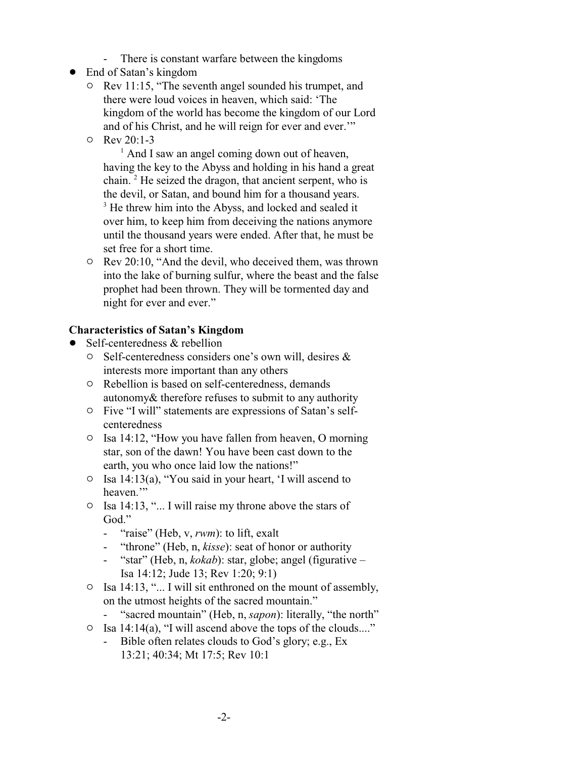- There is constant warfare between the kingdoms
- End of Satan's kingdom
	- $\circ$  Rev 11:15, "The seventh angel sounded his trumpet, and there were loud voices in heaven, which said: 'The kingdom of the world has become the kingdom of our Lord and of his Christ, and he will reign for ever and ever.'"
	- $O$  Rev 20:1-3

<sup>1</sup> And I saw an angel coming down out of heaven, having the key to the Abyss and holding in his hand a great chain.<sup>2</sup> He seized the dragon, that ancient serpent, who is the devil, or Satan, and bound him for a thousand years. <sup>3</sup> He threw him into the Abyss, and locked and sealed it over him, to keep him from deceiving the nations anymore until the thousand years were ended. After that, he must be set free for a short time.

 $\circ$  Rev 20:10, "And the devil, who deceived them, was thrown into the lake of burning sulfur, where the beast and the false prophet had been thrown. They will be tormented day and night for ever and ever."

#### **Characteristics of Satan's Kingdom**

- Self-centeredness & rebellion
	- $\circ$  Self-centeredness considers one's own will, desires & interests more important than any others
	- $\circ$  Rebellion is based on self-centeredness, demands autonomy& therefore refuses to submit to any authority
	- $\circ$  Five "I will" statements are expressions of Satan's selfcenteredness
	- $\circ$  Isa 14:12, "How you have fallen from heaven, O morning star, son of the dawn! You have been cast down to the earth, you who once laid low the nations!"
	- $\circ$  Isa 14:13(a), "You said in your heart, 'I will ascend to heaven."
	- $\circ$  Isa 14:13, "... I will raise my throne above the stars of God."
		- "raise" (Heb, v, *rwm*): to lift, exalt
		- "throne" (Heb, n, *kisse*): seat of honor or authority
		- "star" (Heb, n, *kokab*): star, globe; angel (figurative Isa 14:12; Jude 13; Rev 1:20; 9:1)
	- $\circ$  Isa 14:13, "... I will sit enthroned on the mount of assembly, on the utmost heights of the sacred mountain."
	- "sacred mountain" (Heb, n, *sapon*): literally, "the north"
	- $\circ$  Isa 14:14(a), "I will ascend above the tops of the clouds...."
		- Bible often relates clouds to God's glory; e.g., Ex 13:21; 40:34; Mt 17:5; Rev 10:1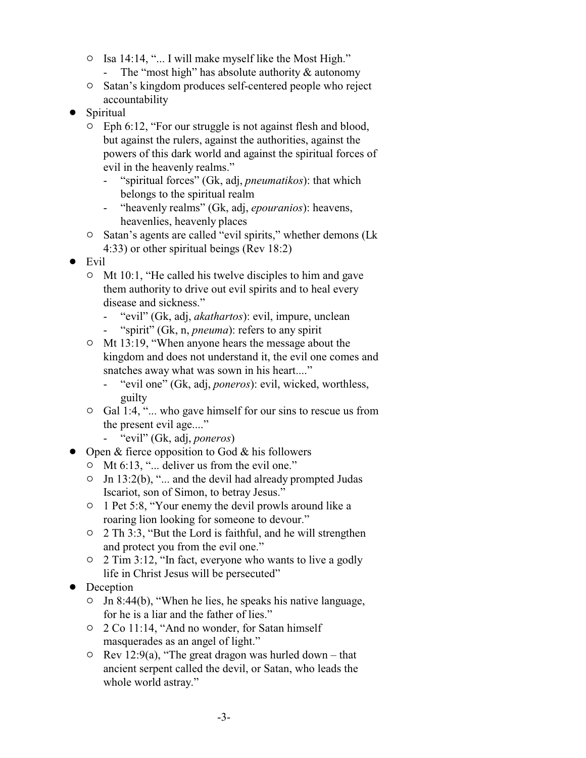- $\circ$  Isa 14:14, "... I will make myself like the Most High."
	- The "most high" has absolute authority & autonomy
- $\circ$  Satan's kingdom produces self-centered people who reject accountability
- Spiritual
	- $\circ$  Eph 6:12, "For our struggle is not against flesh and blood, but against the rulers, against the authorities, against the powers of this dark world and against the spiritual forces of evil in the heavenly realms."
		- "spiritual forces" (Gk, adj, *pneumatikos*): that which belongs to the spiritual realm
		- "heavenly realms" (Gk, adj, *epouranios*): heavens, heavenlies, heavenly places
	- <sup>o</sup> Satan's agents are called "evil spirits," whether demons (Lk 4:33) or other spiritual beings (Rev 18:2)
- $\bullet$  Evil
	- $\circ$  Mt 10:1, "He called his twelve disciples to him and gave them authority to drive out evil spirits and to heal every disease and sickness."
		- "evil" (Gk, adj, *akathartos*): evil, impure, unclean
		- "spirit" (Gk, n, *pneuma*): refers to any spirit
	- <sup>o</sup> Mt 13:19, "When anyone hears the message about the kingdom and does not understand it, the evil one comes and snatches away what was sown in his heart...."
		- "evil one" (Gk, adj, *poneros*): evil, wicked, worthless, guilty
	- $\circ$  Gal 1:4, "... who gave himself for our sins to rescue us from the present evil age...."
		- "evil" (Gk, adj, *poneros*)
- $\bullet$  Open & fierce opposition to God & his followers
	- $\circ$  Mt 6:13, "... deliver us from the evil one."
	- $\circ$  Jn 13:2(b), "... and the devil had already prompted Judas Iscariot, son of Simon, to betray Jesus."
	- $\circ$  1 Pet 5:8, "Your enemy the devil prowls around like a roaring lion looking for someone to devour."
	- $\circ$  2 Th 3:3, "But the Lord is faithful, and he will strengthen and protect you from the evil one."
	- $\degree$  2 Tim 3:12, "In fact, everyone who wants to live a godly life in Christ Jesus will be persecuted"
- Deception
	- $\circ$  Jn 8:44(b), "When he lies, he speaks his native language, for he is a liar and the father of lies."
	- $\circ$  2 Co 11:14, "And no wonder, for Satan himself masquerades as an angel of light."
	- $\circ$  Rev 12:9(a), "The great dragon was hurled down that ancient serpent called the devil, or Satan, who leads the whole world astray."